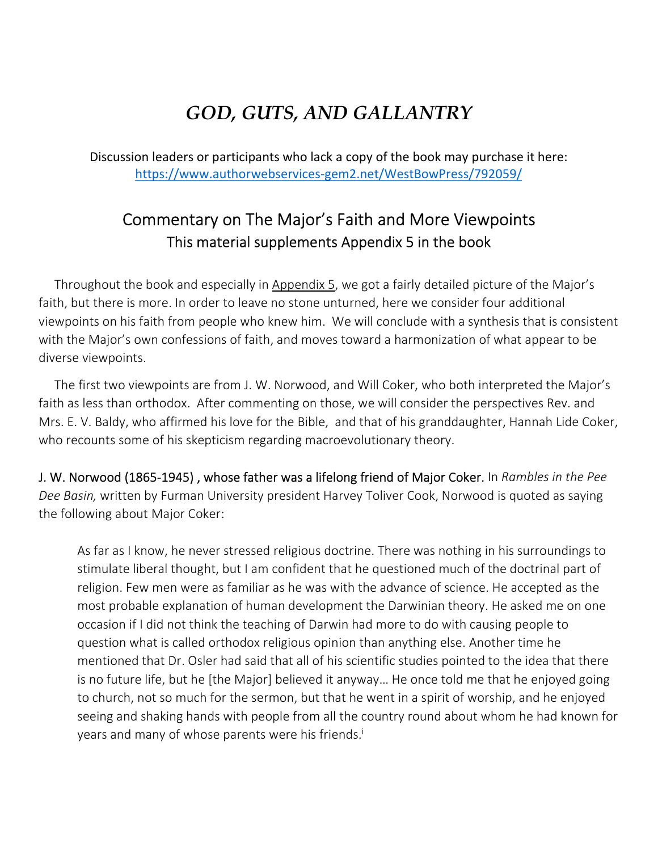## *GOD, GUTS, AND GALLANTRY*

Discussion leaders or participants who lack a copy of the book may purchase it here: https://www.authorwebservices-gem2.net/WestBowPress/792059/

## Commentary on The Major's Faith and More Viewpoints This material supplements Appendix 5 in the book

Throughout the book and especially in Appendix 5, we got a fairly detailed picture of the Major's faith, but there is more. In order to leave no stone unturned, here we consider four additional viewpoints on his faith from people who knew him. We will conclude with a synthesis that is consistent with the Major's own confessions of faith, and moves toward a harmonization of what appear to be diverse viewpoints.

The first two viewpoints are from J. W. Norwood, and Will Coker, who both interpreted the Major's faith as less than orthodox. After commenting on those, we will consider the perspectives Rev. and Mrs. E. V. Baldy, who affirmed his love for the Bible, and that of his granddaughter, Hannah Lide Coker, who recounts some of his skepticism regarding macroevolutionary theory.

J. W. Norwood (1865-1945) , whose father was a lifelong friend of Major Coker. In *Rambles in the Pee Dee Basin,* written by Furman University president Harvey Toliver Cook, Norwood is quoted as saying the following about Major Coker:

As far as I know, he never stressed religious doctrine. There was nothing in his surroundings to stimulate liberal thought, but I am confident that he questioned much of the doctrinal part of religion. Few men were as familiar as he was with the advance of science. He accepted as the most probable explanation of human development the Darwinian theory. He asked me on one occasion if I did not think the teaching of Darwin had more to do with causing people to question what is called orthodox religious opinion than anything else. Another time he mentioned that Dr. Osler had said that all of his scientific studies pointed to the idea that there is no future life, but he [the Major] believed it anyway… He once told me that he enjoyed going to church, not so much for the sermon, but that he went in a spirit of worship, and he enjoyed seeing and shaking hands with people from all the country round about whom he had known for years and many of whose parents were his friends. i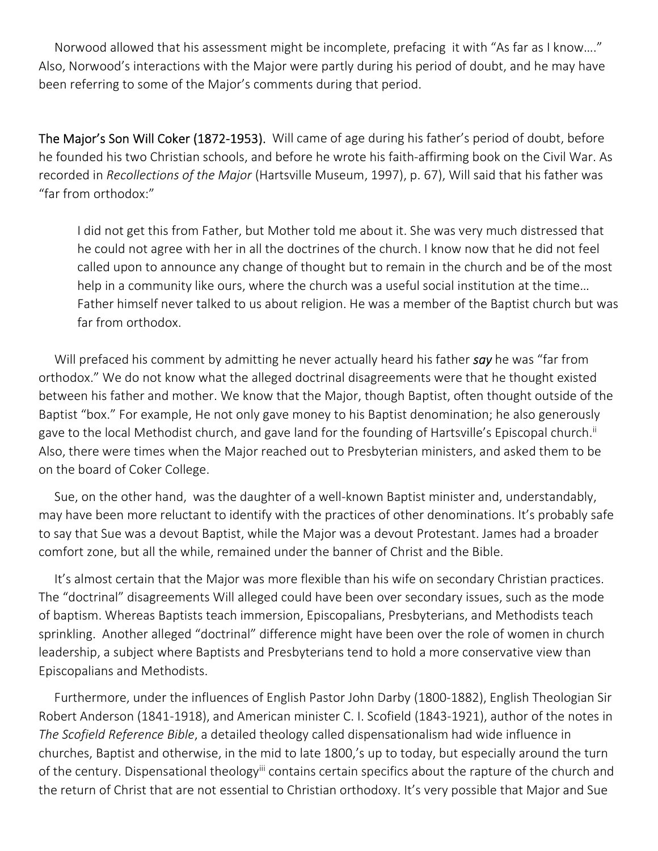Norwood allowed that his assessment might be incomplete, prefacing it with "As far as I know…." Also, Norwood's interactions with the Major were partly during his period of doubt, and he may have been referring to some of the Major's comments during that period.

The Major's Son Will Coker (1872-1953). Will came of age during his father's period of doubt, before he founded his two Christian schools, and before he wrote his faith-affirming book on the Civil War. As recorded in *Recollections of the Major* (Hartsville Museum, 1997), p. 67), Will said that his father was "far from orthodox:"

I did not get this from Father, but Mother told me about it. She was very much distressed that he could not agree with her in all the doctrines of the church. I know now that he did not feel called upon to announce any change of thought but to remain in the church and be of the most help in a community like ours, where the church was a useful social institution at the time… Father himself never talked to us about religion. He was a member of the Baptist church but was far from orthodox.

 Will prefaced his comment by admitting he never actually heard his father *say* he was "far from orthodox." We do not know what the alleged doctrinal disagreements were that he thought existed between his father and mother. We know that the Major, though Baptist, often thought outside of the Baptist "box." For example, He not only gave money to his Baptist denomination; he also generously gave to the local Methodist church, and gave land for the founding of Hartsville's Episcopal church.<sup>ii</sup> Also, there were times when the Major reached out to Presbyterian ministers, and asked them to be on the board of Coker College.

 Sue, on the other hand, was the daughter of a well-known Baptist minister and, understandably, may have been more reluctant to identify with the practices of other denominations. It's probably safe to say that Sue was a devout Baptist, while the Major was a devout Protestant. James had a broader comfort zone, but all the while, remained under the banner of Christ and the Bible.

 It's almost certain that the Major was more flexible than his wife on secondary Christian practices. The "doctrinal" disagreements Will alleged could have been over secondary issues, such as the mode of baptism. Whereas Baptists teach immersion, Episcopalians, Presbyterians, and Methodists teach sprinkling. Another alleged "doctrinal" difference might have been over the role of women in church leadership, a subject where Baptists and Presbyterians tend to hold a more conservative view than Episcopalians and Methodists.

 Furthermore, under the influences of English Pastor John Darby (1800-1882), English Theologian Sir Robert Anderson (1841-1918), and American minister C. I. Scofield (1843-1921), author of the notes in *The Scofield Reference Bible*, a detailed theology called dispensationalism had wide influence in churches, Baptist and otherwise, in the mid to late 1800,'s up to today, but especially around the turn of the century. Dispensational theology<sup>iii</sup> contains certain specifics about the rapture of the church and the return of Christ that are not essential to Christian orthodoxy. It's very possible that Major and Sue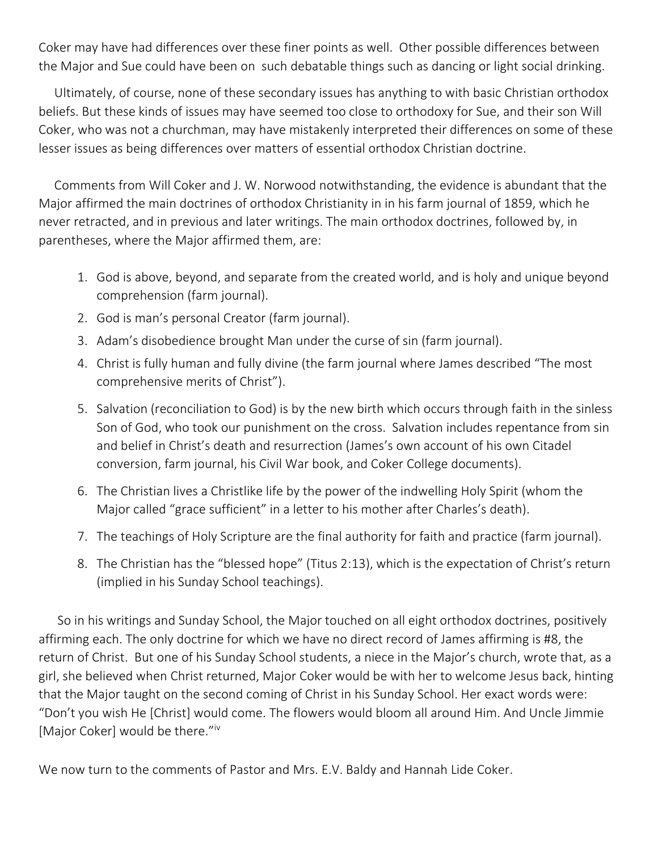Coker may have had differences over these finer points as well. Other possible differences between the Major and Sue could have been on such debatable things such as dancing or light social drinking.

 Ultimately, of course, none of these secondary issues has anything to with basic Christian orthodox beliefs. But these kinds of issues may have seemed too close to orthodoxy for Sue, and their son Will Coker, who was not a churchman, may have mistakenly interpreted their differences on some of these lesser issues as being differences over matters of essential orthodox Christian doctrine.

 Comments from Will Coker and J. W. Norwood notwithstanding, the evidence is abundant that the Major affirmed the main doctrines of orthodox Christianity in in his farm journal of 1859, which he never retracted, and in previous and later writings. The main orthodox doctrines, followed by, in parentheses, where the Major affirmed them, are:

- 1. God is above, beyond, and separate from the created world, and is holy and unique beyond comprehension (farm journal).
- 2. God is man's personal Creator (farm journal).
- 3. Adam's disobedience brought Man under the curse of sin (farm journal).
- 4. Christ is fully human and fully divine (the farm journal where James described "The most comprehensive merits of Christ").
- 5. Salvation (reconciliation to God) is by the new birth which occurs through faith in the sinless Son of God, who took our punishment on the cross. Salvation includes repentance from sin and belief in Christ's death and resurrection (James's own account of his own Citadel conversion, farm journal, his Civil War book, and Coker College documents).
- 6. The Christian lives a Christlike life by the power of the indwelling Holy Spirit (whom the Major called "grace sufficient" in a letter to his mother after Charles's death).
- 7. The teachings of Holy Scripture are the final authority for faith and practice (farm journal).
- 8. The Christian has the "blessed hope" (Titus 2:13), which is the expectation of Christ's return (implied in his Sunday School teachings).

 So in his writings and Sunday School, the Major touched on all eight orthodox doctrines, positively affirming each. The only doctrine for which we have no direct record of James affirming is #8, the return of Christ. But one of his Sunday School students, a niece in the Major's church, wrote that, as a girl, she believed when Christ returned, Major Coker would be with her to welcome Jesus back, hinting that the Major taught on the second coming of Christ in his Sunday School. Her exact words were: "Don't you wish He [Christ] would come. The flowers would bloom all around Him. And Uncle Jimmie [Major Coker] would be there."iv

We now turn to the comments of Pastor and Mrs. E.V. Baldy and Hannah Lide Coker.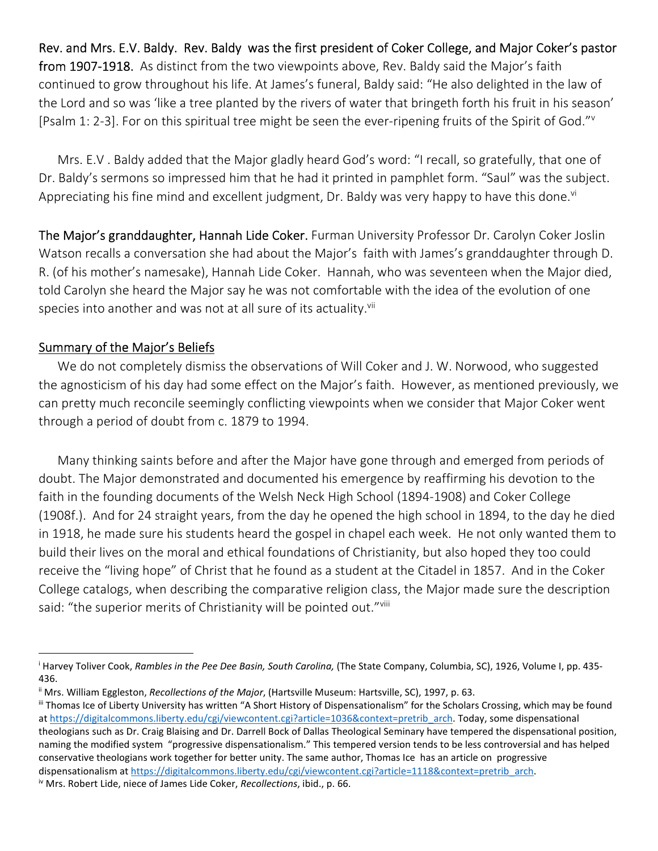Rev. and Mrs. E.V. Baldy. Rev. Baldy was the first president of Coker College, and Major Coker's pastor from 1907-1918. As distinct from the two viewpoints above, Rev. Baldy said the Major's faith continued to grow throughout his life. At James's funeral, Baldy said: "He also delighted in the law of the Lord and so was 'like a tree planted by the rivers of water that bringeth forth his fruit in his season' [Psalm 1: 2-3]. For on this spiritual tree might be seen the ever-ripening fruits of the Spirit of God."V

 Mrs. E.V . Baldy added that the Major gladly heard God's word: "I recall, so gratefully, that one of Dr. Baldy's sermons so impressed him that he had it printed in pamphlet form. "Saul" was the subject. Appreciating his fine mind and excellent judgment, Dr. Baldy was very happy to have this done.<sup>vi</sup>

The Major's granddaughter, Hannah Lide Coker. Furman University Professor Dr. Carolyn Coker Joslin Watson recalls a conversation she had about the Major's faith with James's granddaughter through D. R. (of his mother's namesake), Hannah Lide Coker. Hannah, who was seventeen when the Major died, told Carolyn she heard the Major say he was not comfortable with the idea of the evolution of one species into another and was not at all sure of its actuality.<sup>vii</sup>

## Summary of the Major's Beliefs

 We do not completely dismiss the observations of Will Coker and J. W. Norwood, who suggested the agnosticism of his day had some effect on the Major's faith. However, as mentioned previously, we can pretty much reconcile seemingly conflicting viewpoints when we consider that Major Coker went through a period of doubt from c. 1879 to 1994.

 Many thinking saints before and after the Major have gone through and emerged from periods of doubt. The Major demonstrated and documented his emergence by reaffirming his devotion to the faith in the founding documents of the Welsh Neck High School (1894-1908) and Coker College (1908f.). And for 24 straight years, from the day he opened the high school in 1894, to the day he died in 1918, he made sure his students heard the gospel in chapel each week. He not only wanted them to build their lives on the moral and ethical foundations of Christianity, but also hoped they too could receive the "living hope" of Christ that he found as a student at the Citadel in 1857. And in the Coker College catalogs, when describing the comparative religion class, the Major made sure the description said: "the superior merits of Christianity will be pointed out."Vill

iv Mrs. Robert Lide, niece of James Lide Coker, *Recollections*, ibid., p. 66.

i Harvey Toliver Cook, *Rambles in the Pee Dee Basin, South Carolina,* (The State Company, Columbia, SC), 1926, Volume I, pp. 435- 436.

ii Mrs. William Eggleston, *Recollections of the Major*, (Hartsville Museum: Hartsville, SC), 1997, p. 63.

iii Thomas Ice of Liberty University has written "A Short History of Dispensationalism" for the Scholars Crossing, which may be found at https://digitalcommons.liberty.edu/cgi/viewcontent.cgi?article=1036&context=pretrib\_arch. Today, some dispensational theologians such as Dr. Craig Blaising and Dr. Darrell Bock of Dallas Theological Seminary have tempered the dispensational position, naming the modified system "progressive dispensationalism." This tempered version tends to be less controversial and has helped conservative theologians work together for better unity. The same author, Thomas Ice has an article on progressive dispensationalism at https://digitalcommons.liberty.edu/cgi/viewcontent.cgi?article=1118&context=pretrib\_arch.